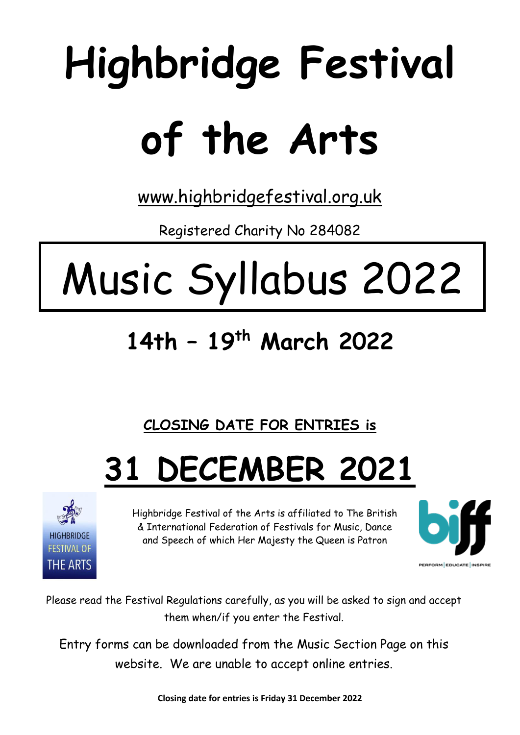# **Highbridge Festival of the Arts**

[www.highbridgefestival.org.uk](http://www.highbridgefestival.org.uk/)

Registered Charity No 284082

## Music Syllabus 2022

### **14th – 19 th March 2022**

**CLOSING DATE FOR ENTRIES is** 

## **31 DECEMBER 2021**



Highbridge Festival of the Arts is affiliated to The British & International Federation of Festivals for Music, Dance and Speech of which Her Majesty the Queen is Patron



Please read the Festival Regulations carefully, as you will be asked to sign and accept them when/if you enter the Festival.

Entry forms can be downloaded from the Music Section Page on this website. We are unable to accept online entries.

**Closing date for entries is Friday 31 December 2022**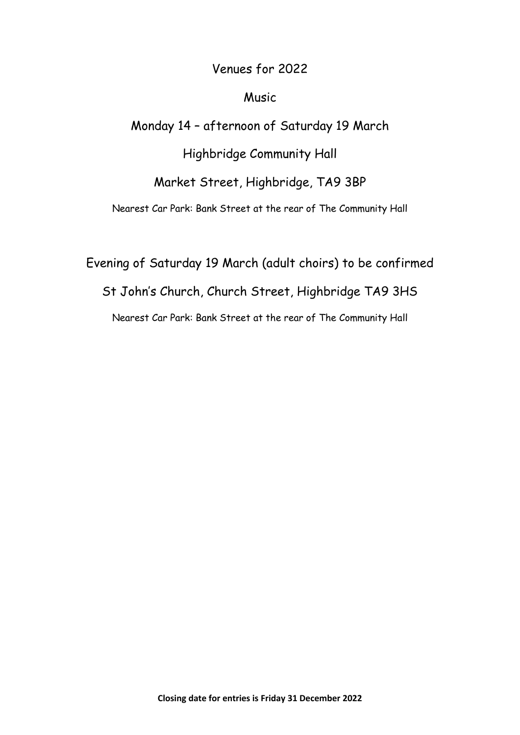#### Venues for 2022

#### Music

Monday 14 – afternoon of Saturday 19 March

Highbridge Community Hall

Market Street, Highbridge, TA9 3BP

Nearest Car Park: Bank Street at the rear of The Community Hall

Evening of Saturday 19 March (adult choirs) to be confirmed St John's Church, Church Street, Highbridge TA9 3HS Nearest Car Park: Bank Street at the rear of The Community Hall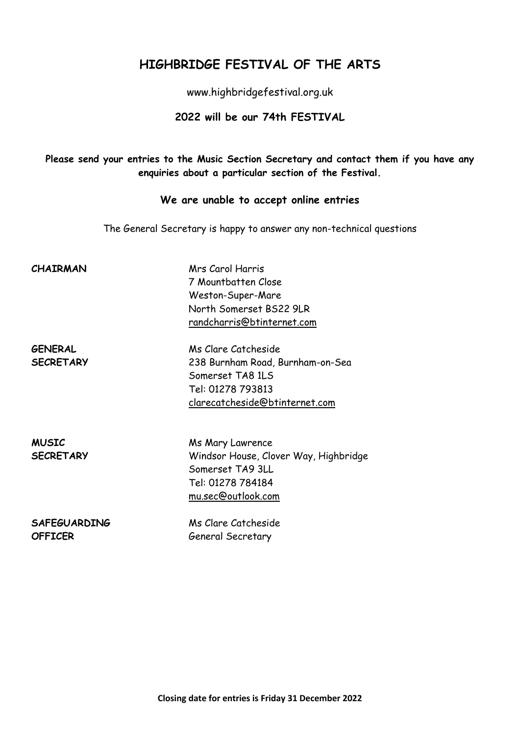#### **HIGHBRIDGE FESTIVAL OF THE ARTS**

www.highbridgefestival.org.uk

#### **2022 will be our 74th FESTIVAL**

**Please send your entries to the Music Section Secretary and contact them if you have any enquiries about a particular section of the Festival.**

#### **We are unable to accept online entries**

The General Secretary is happy to answer any non-technical questions

**CHAIRMAN** Mrs Carol Harris 7 Mountbatten Close Weston-Super-Mare North Somerset BS22 9LR [randcharris@btinternet.com](mailto:randcharris@btinternet.com)

**GENERAL** Ms Clare Catcheside **SECRETARY** 238 Burnham Road, Burnham-on-Sea Somerset TA8 1LS Tel: 01278 793813 [clarecatcheside@btinternet.com](mailto:clarecatcheside@btinternet.com)

**MUSIC** Ms Mary Lawrence **SECRETARY** Windsor House, Clover Way, Highbridge Somerset TA9 3LL Tel: 01278 784184 mu.sec@outlook.com

**SAFEGUARDING** Ms Clare Catcheside **OFFICER** General Secretary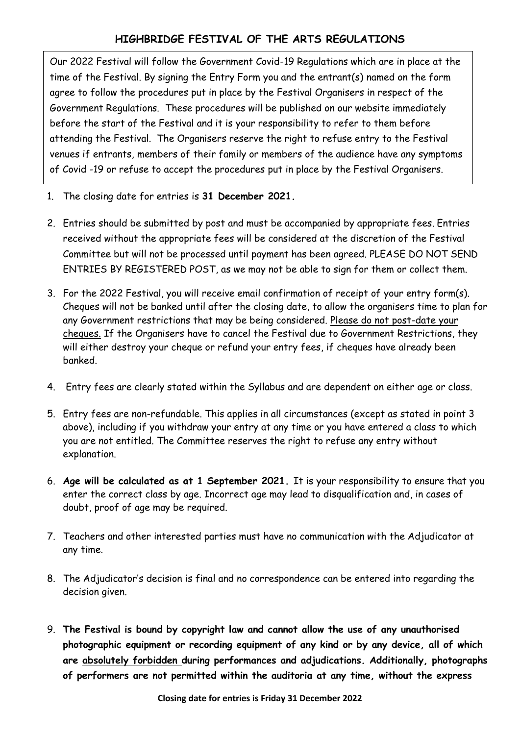#### **HIGHBRIDGE FESTIVAL OF THE ARTS REGULATIONS**

Our 2022 Festival will follow the Government Covid-19 Regulations which are in place at the time of the Festival. By signing the Entry Form you and the entrant(s) named on the form agree to follow the procedures put in place by the Festival Organisers in respect of the Government Regulations. These procedures will be published on our website immediately before the start of the Festival and it is your responsibility to refer to them before attending the Festival. The Organisers reserve the right to refuse entry to the Festival venues if entrants, members of their family or members of the audience have any symptoms of Covid -19 or refuse to accept the procedures put in place by the Festival Organisers.

- 1. The closing date for entries is **31 December 2021.**
- 2. Entries should be submitted by post and must be accompanied by appropriate fees. Entries received without the appropriate fees will be considered at the discretion of the Festival Committee but will not be processed until payment has been agreed. PLEASE DO NOT SEND ENTRIES BY REGISTERED POST, as we may not be able to sign for them or collect them.
- 3. For the 2022 Festival, you will receive email confirmation of receipt of your entry form(s). Cheques will not be banked until after the closing date, to allow the organisers time to plan for any Government restrictions that may be being considered. Please do not post-date your cheques. If the Organisers have to cancel the Festival due to Government Restrictions, they will either destroy your cheque or refund your entry fees, if cheques have already been banked.
- 4. Entry fees are clearly stated within the Syllabus and are dependent on either age or class.
- 5. Entry fees are non-refundable. This applies in all circumstances (except as stated in point 3 above), including if you withdraw your entry at any time or you have entered a class to which you are not entitled. The Committee reserves the right to refuse any entry without explanation.
- 6. **Age will be calculated as at 1 September 2021.** It is your responsibility to ensure that you enter the correct class by age. Incorrect age may lead to disqualification and, in cases of doubt, proof of age may be required.
- 7. Teachers and other interested parties must have no communication with the Adjudicator at any time.
- 8. The Adjudicator's decision is final and no correspondence can be entered into regarding the decision given.
- 9. **The Festival is bound by copyright law and cannot allow the use of any unauthorised photographic equipment or recording equipment of any kind or by any device, all of which are absolutely forbidden during performances and adjudications. Additionally, photographs of performers are not permitted within the auditoria at any time, without the express**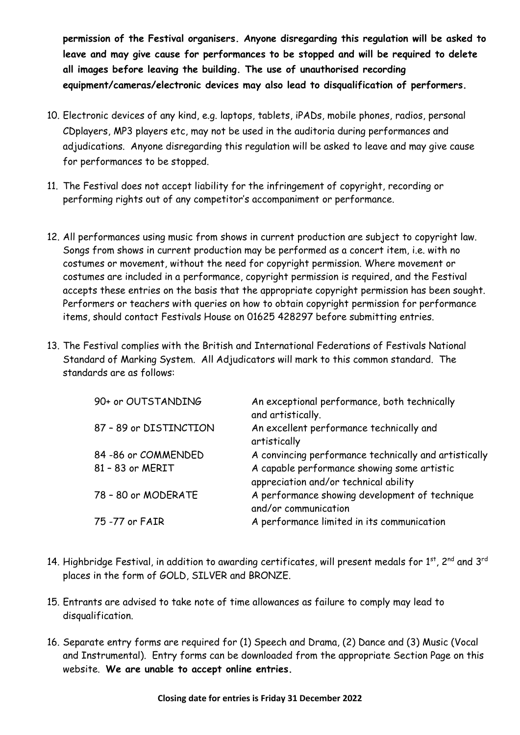**permission of the Festival organisers. Anyone disregarding this regulation will be asked to leave and may give cause for performances to be stopped and will be required to delete all images before leaving the building. The use of unauthorised recording equipment/cameras/electronic devices may also lead to disqualification of performers.**

- 10. Electronic devices of any kind, e.g. laptops, tablets, iPADs, mobile phones, radios, personal CDplayers, MP3 players etc, may not be used in the auditoria during performances and adjudications. Anyone disregarding this regulation will be asked to leave and may give cause for performances to be stopped.
- 11. The Festival does not accept liability for the infringement of copyright, recording or performing rights out of any competitor's accompaniment or performance.
- 12. All performances using music from shows in current production are subject to copyright law. Songs from shows in current production may be performed as a concert item, i.e. with no costumes or movement, without the need for copyright permission. Where movement or costumes are included in a performance, copyright permission is required, and the Festival accepts these entries on the basis that the appropriate copyright permission has been sought. Performers or teachers with queries on how to obtain copyright permission for performance items, should contact Festivals House on 01625 428297 before submitting entries.
- 13. The Festival complies with the British and International Federations of Festivals National Standard of Marking System. All Adjudicators will mark to this common standard. The standards are as follows:

| 90+ or OUTSTANDING     | An exceptional performance, both technically<br>and artistically.                    |
|------------------------|--------------------------------------------------------------------------------------|
| 87 - 89 or DISTINCTION | An excellent performance technically and<br>artistically                             |
| 84 - 86 or COMMENDED   | A convincing performance technically and artistically                                |
| 81 - 83 or MERIT       | A capable performance showing some artistic<br>appreciation and/or technical ability |
| 78 - 80 or MODERATE    | A performance showing development of technique<br>and/or communication               |
| 75 -77 or FAIR         | A performance limited in its communication                                           |

- 14. Highbridge Festival, in addition to awarding certificates, will present medals for  $1^{st}$ ,  $2^{nd}$  and  $3^{rd}$ places in the form of GOLD, SILVER and BRONZE.
- 15. Entrants are advised to take note of time allowances as failure to comply may lead to disqualification.
- 16. Separate entry forms are required for (1) Speech and Drama, (2) Dance and (3) Music (Vocal and Instrumental). Entry forms can be downloaded from the appropriate Section Page on this website. **We are unable to accept online entries.**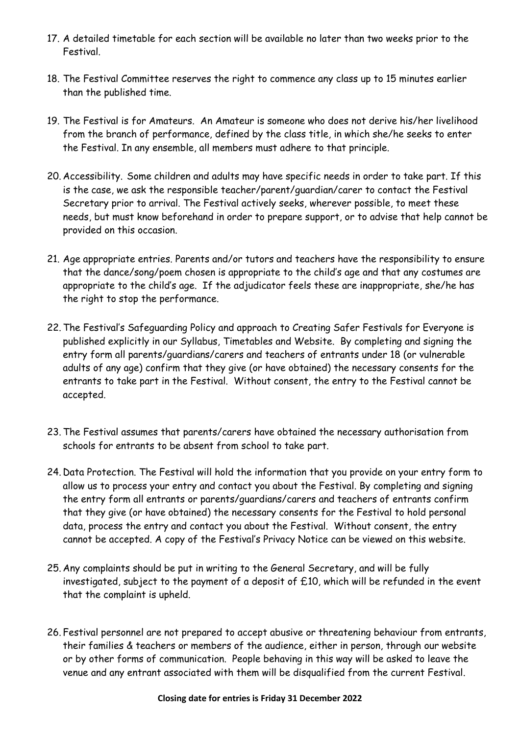- 17. A detailed timetable for each section will be available no later than two weeks prior to the Festival.
- 18. The Festival Committee reserves the right to commence any class up to 15 minutes earlier than the published time.
- 19. The Festival is for Amateurs. An Amateur is someone who does not derive his/her livelihood from the branch of performance, defined by the class title, in which she/he seeks to enter the Festival. In any ensemble, all members must adhere to that principle.
- 20. Accessibility. Some children and adults may have specific needs in order to take part. If this is the case, we ask the responsible teacher/parent/guardian/carer to contact the Festival Secretary prior to arrival. The Festival actively seeks, wherever possible, to meet these needs, but must know beforehand in order to prepare support, or to advise that help cannot be provided on this occasion.
- 21. Age appropriate entries. Parents and/or tutors and teachers have the responsibility to ensure that the dance/song/poem chosen is appropriate to the child's age and that any costumes are appropriate to the child's age. If the adjudicator feels these are inappropriate, she/he has the right to stop the performance.
- 22.The Festival's Safeguarding Policy and approach to Creating Safer Festivals for Everyone is published explicitly in our Syllabus, Timetables and Website. By completing and signing the entry form all parents/guardians/carers and teachers of entrants under 18 (or vulnerable adults of any age) confirm that they give (or have obtained) the necessary consents for the entrants to take part in the Festival. Without consent, the entry to the Festival cannot be accepted.
- 23.The Festival assumes that parents/carers have obtained the necessary authorisation from schools for entrants to be absent from school to take part.
- 24. Data Protection. The Festival will hold the information that you provide on your entry form to allow us to process your entry and contact you about the Festival. By completing and signing the entry form all entrants or parents/guardians/carers and teachers of entrants confirm that they give (or have obtained) the necessary consents for the Festival to hold personal data, process the entry and contact you about the Festival. Without consent, the entry cannot be accepted. A copy of the Festival's Privacy Notice can be viewed on this website.
- 25. Any complaints should be put in writing to the General Secretary, and will be fully investigated, subject to the payment of a deposit of £10, which will be refunded in the event that the complaint is upheld.
- 26. Festival personnel are not prepared to accept abusive or threatening behaviour from entrants, their families & teachers or members of the audience, either in person, through our website or by other forms of communication. People behaving in this way will be asked to leave the venue and any entrant associated with them will be disqualified from the current Festival.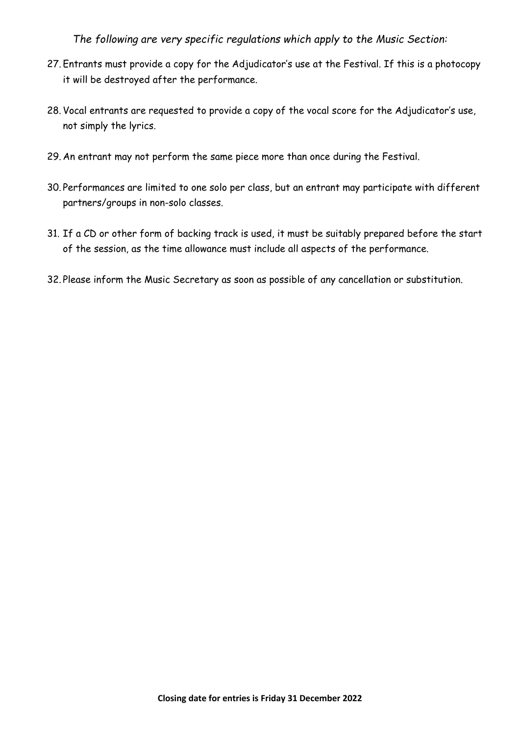*The following are very specific regulations which apply to the Music Section:*

- 27. Entrants must provide a copy for the Adjudicator's use at the Festival. If this is a photocopy it will be destroyed after the performance.
- 28. Vocal entrants are requested to provide a copy of the vocal score for the Adjudicator's use, not simply the lyrics.
- 29. An entrant may not perform the same piece more than once during the Festival.
- 30. Performances are limited to one solo per class, but an entrant may participate with different partners/groups in non-solo classes.
- 31. If a CD or other form of backing track is used, it must be suitably prepared before the start of the session, as the time allowance must include all aspects of the performance.
- 32. Please inform the Music Secretary as soon as possible of any cancellation or substitution.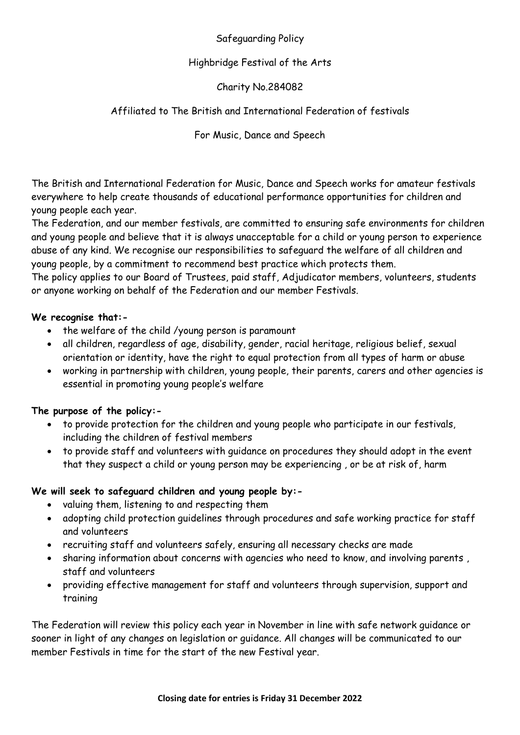#### Safeguarding Policy

#### Highbridge Festival of the Arts

#### Charity No.284082

#### Affiliated to The British and International Federation of festivals

For Music, Dance and Speech

The British and International Federation for Music, Dance and Speech works for amateur festivals everywhere to help create thousands of educational performance opportunities for children and young people each year.

The Federation, and our member festivals, are committed to ensuring safe environments for children and young people and believe that it is always unacceptable for a child or young person to experience abuse of any kind. We recognise our responsibilities to safeguard the welfare of all children and young people, by a commitment to recommend best practice which protects them.

The policy applies to our Board of Trustees, paid staff, Adjudicator members, volunteers, students or anyone working on behalf of the Federation and our member Festivals.

#### **We recognise that:-**

- the welfare of the child /young person is paramount
- all children, regardless of age, disability, gender, racial heritage, religious belief, sexual orientation or identity, have the right to equal protection from all types of harm or abuse
- working in partnership with children, young people, their parents, carers and other agencies is essential in promoting young people's welfare

#### **The purpose of the policy:-**

- to provide protection for the children and young people who participate in our festivals, including the children of festival members
- to provide staff and volunteers with guidance on procedures they should adopt in the event that they suspect a child or young person may be experiencing , or be at risk of, harm

#### **We will seek to safeguard children and young people by:-**

- valuing them, listening to and respecting them
- adopting child protection guidelines through procedures and safe working practice for staff and volunteers
- recruiting staff and volunteers safely, ensuring all necessary checks are made
- sharing information about concerns with agencies who need to know, and involving parents , staff and volunteers
- providing effective management for staff and volunteers through supervision, support and training

The Federation will review this policy each year in November in line with safe network guidance or sooner in light of any changes on legislation or guidance. All changes will be communicated to our member Festivals in time for the start of the new Festival year.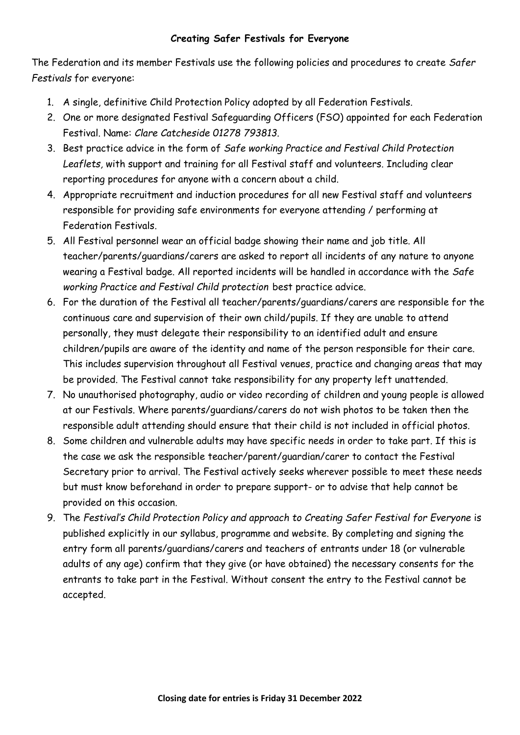#### **Creating Safer Festivals for Everyone**

The Federation and its member Festivals use the following policies and procedures to create *Safer Festivals* for everyone:

- 1. A single, definitive Child Protection Policy adopted by all Federation Festivals.
- 2. One or more designated Festival Safeguarding Officers (FSO) appointed for each Federation Festival. Name: *Clare Catcheside 01278 793813.*
- 3. Best practice advice in the form of *Safe working Practice and Festival Child Protection Leaflets,* with support and training for all Festival staff and volunteers. Including clear reporting procedures for anyone with a concern about a child.
- 4. Appropriate recruitment and induction procedures for all new Festival staff and volunteers responsible for providing safe environments for everyone attending / performing at Federation Festivals.
- 5. All Festival personnel wear an official badge showing their name and job title. All teacher/parents/guardians/carers are asked to report all incidents of any nature to anyone wearing a Festival badge. All reported incidents will be handled in accordance with the *Safe working Practice and Festival Child protection* best practice advice.
- 6. For the duration of the Festival all teacher/parents/guardians/carers are responsible for the continuous care and supervision of their own child/pupils. If they are unable to attend personally, they must delegate their responsibility to an identified adult and ensure children/pupils are aware of the identity and name of the person responsible for their care. This includes supervision throughout all Festival venues, practice and changing areas that may be provided. The Festival cannot take responsibility for any property left unattended.
- 7. No unauthorised photography, audio or video recording of children and young people is allowed at our Festivals. Where parents/guardians/carers do not wish photos to be taken then the responsible adult attending should ensure that their child is not included in official photos.
- 8. Some children and vulnerable adults may have specific needs in order to take part. If this is the case we ask the responsible teacher/parent/guardian/carer to contact the Festival Secretary prior to arrival. The Festival actively seeks wherever possible to meet these needs but must know beforehand in order to prepare support- or to advise that help cannot be provided on this occasion.
- 9. The *Festival's Child Protection Policy and approach to Creating Safer Festival for Everyone* is published explicitly in our syllabus, programme and website. By completing and signing the entry form all parents/guardians/carers and teachers of entrants under 18 (or vulnerable adults of any age) confirm that they give (or have obtained) the necessary consents for the entrants to take part in the Festival. Without consent the entry to the Festival cannot be accepted.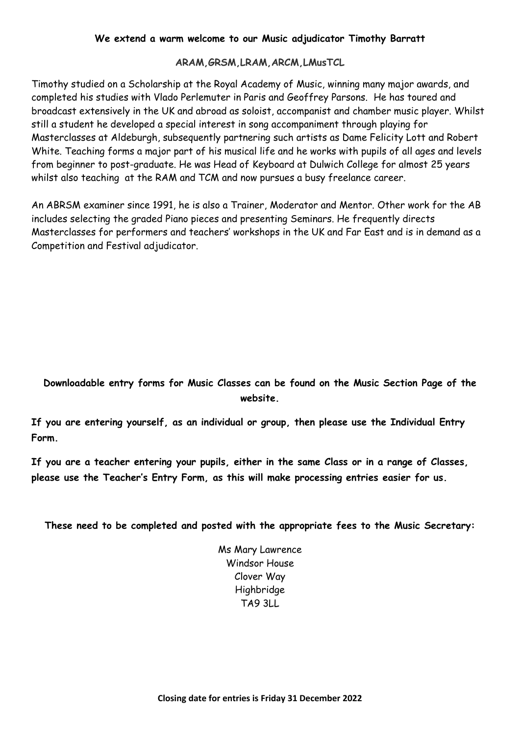#### **We extend a warm welcome to our Music adjudicator Timothy Barratt**

#### **ARAM,GRSM,LRAM,ARCM,LMusTCL**

Timothy studied on a Scholarship at the Royal Academy of Music, winning many major awards, and completed his studies with Vlado Perlemuter in Paris and Geoffrey Parsons. He has toured and broadcast extensively in the UK and abroad as soloist, accompanist and chamber music player. Whilst still a student he developed a special interest in song accompaniment through playing for Masterclasses at Aldeburgh, subsequently partnering such artists as Dame Felicity Lott and Robert White. Teaching forms a major part of his musical life and he works with pupils of all ages and levels from beginner to post-graduate. He was Head of Keyboard at Dulwich College for almost 25 years whilst also teaching at the RAM and TCM and now pursues a busy freelance career.

An ABRSM examiner since 1991, he is also a Trainer, Moderator and Mentor. Other work for the AB includes selecting the graded Piano pieces and presenting Seminars. He frequently directs Masterclasses for performers and teachers' workshops in the UK and Far East and is in demand as a Competition and Festival adjudicator.

#### **Downloadable entry forms for Music Classes can be found on the Music Section Page of the website.**

**If you are entering yourself, as an individual or group, then please use the Individual Entry Form.**

**If you are a teacher entering your pupils, either in the same Class or in a range of Classes, please use the Teacher's Entry Form, as this will make processing entries easier for us.** 

**These need to be completed and posted with the appropriate fees to the Music Secretary:**

Ms Mary Lawrence Windsor House Clover Way **Highbridge** TA9 3LL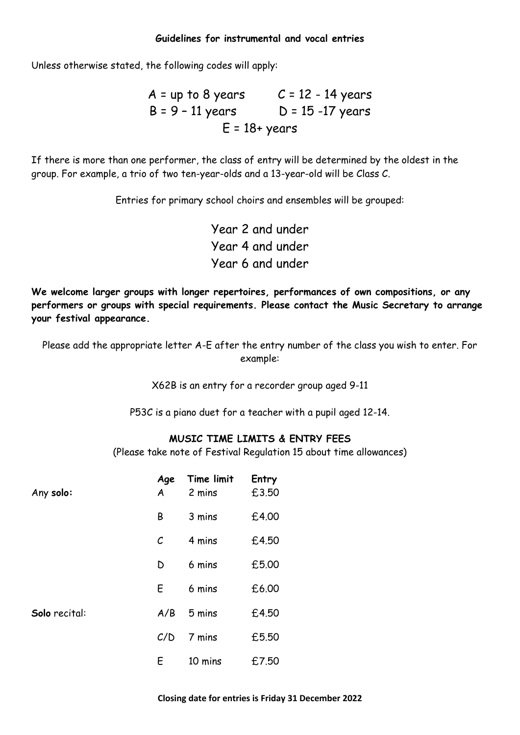#### **Guidelines for instrumental and vocal entries**

Unless otherwise stated, the following codes will apply:

 $A =$  up to 8 years  $C = 12 - 14$  years  $B = 9 - 11$  years  $D = 15 - 17$  years  $E = 18 + \text{years}$ 

If there is more than one performer, the class of entry will be determined by the oldest in the group. For example, a trio of two ten-year-olds and a 13-year-old will be Class C.

Entries for primary school choirs and ensembles will be grouped:

Year 2 and under Year 4 and under Year 6 and under

**We welcome larger groups with longer repertoires, performances of own compositions, or any performers or groups with special requirements. Please contact the Music Secretary to arrange your festival appearance.**

Please add the appropriate letter A-E after the entry number of the class you wish to enter. For example:

X62B is an entry for a recorder group aged 9-11

P53C is a piano duet for a teacher with a pupil aged 12-14.

#### **MUSIC TIME LIMITS & ENTRY FEES**

(Please take note of Festival Regulation 15 about time allowances)

| Any solo:     | Age<br>$\boldsymbol{A}$ | Time limit<br>2 mins | Entry<br>£3.50 |
|---------------|-------------------------|----------------------|----------------|
|               | В                       | 3 mins               | £4.00          |
|               | $\mathcal{C}_{0}$       | 4 mins               | £4.50          |
|               | D                       | 6 mins               | £5.00          |
|               | E                       | 6 mins               | £6.00          |
| Solo recital: | A/B                     | 5 mins               | £4.50          |
|               | C/D                     | 7 mins               | £5.50          |
|               | Ε                       | 10 mins              | £7.50          |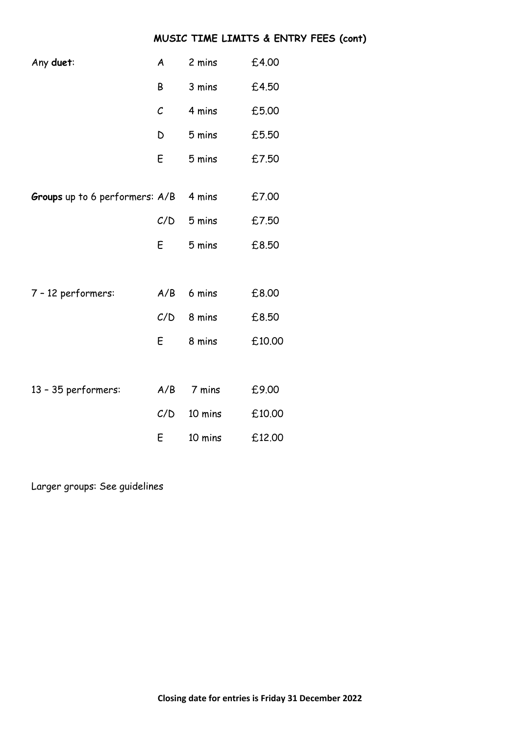#### **MUSIC TIME LIMITS & ENTRY FEES (cont)**

| Any duet:                      | A            | 2 mins  | £4.00  |
|--------------------------------|--------------|---------|--------|
|                                | Β            | 3 mins  | £4.50  |
|                                | $\mathcal C$ | 4 mins  | £5.00  |
|                                | D            | 5 mins  | £5.50  |
|                                | E            | 5 mins  | £7.50  |
|                                |              |         |        |
| Groups up to 6 performers: A/B |              | 4 mins  | £7.00  |
|                                | C/D          | 5 mins  | £7.50  |
|                                | E            | 5 mins  | £8.50  |
|                                |              |         |        |
| 7 - 12 performers:             | A/B          | 6 mins  | £8.00  |
|                                | C/D          | 8 mins  | £8.50  |
|                                | E            | 8 mins  | £10.00 |
|                                |              |         |        |
| 13 - 35 performers:            | A/B          | 7 mins  | £9.00  |
|                                | C/D          | 10 mins | £10.00 |
|                                | E            | 10 mins | £12.00 |

Larger groups: See guidelines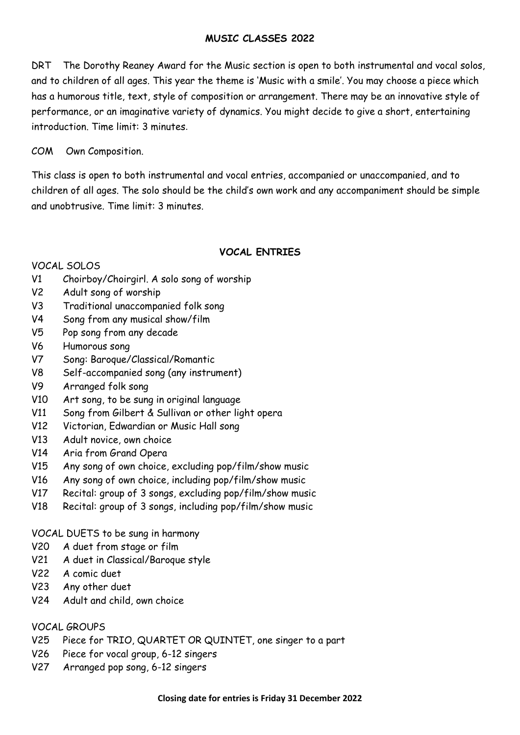#### **MUSIC CLASSES 2022**

DRT The Dorothy Reaney Award for the Music section is open to both instrumental and vocal solos, and to children of all ages. This year the theme is 'Music with a smile'. You may choose a piece which has a humorous title, text, style of composition or arrangement. There may be an innovative style of performance, or an imaginative variety of dynamics. You might decide to give a short, entertaining introduction. Time limit: 3 minutes.

#### COM Own Composition.

This class is open to both instrumental and vocal entries, accompanied or unaccompanied, and to children of all ages. The solo should be the child's own work and any accompaniment should be simple and unobtrusive. Time limit: 3 minutes.

#### **VOCAL ENTRIES**

#### VOCAL SOLOS

- V1 Choirboy/Choirgirl. A solo song of worship
- V2 Adult song of worship
- V3 Traditional unaccompanied folk song
- V4 Song from any musical show/film
- V5 Pop song from any decade
- V6 Humorous song
- V7 Song: Baroque/Classical/Romantic
- V8 Self-accompanied song (any instrument)
- V9 Arranged folk song
- V10 Art song, to be sung in original language
- V11 Song from Gilbert & Sullivan or other light opera
- V12 Victorian, Edwardian or Music Hall song
- V13 Adult novice, own choice
- V14 Aria from Grand Opera
- V15 Any song of own choice, excluding pop/film/show music
- V16 Any song of own choice, including pop/film/show music
- V17 Recital: group of 3 songs, excluding pop/film/show music
- V18 Recital: group of 3 songs, including pop/film/show music

VOCAL DUETS to be sung in harmony

- V20 A duet from stage or film
- V21 A duet in Classical/Baroque style
- V22 A comic duet
- V23 Any other duet
- V24 Adult and child, own choice

#### VOCAL GROUPS

- V25 Piece for TRIO, QUARTET OR QUINTET, one singer to a part
- V26 Piece for vocal group, 6-12 singers
- V27 Arranged pop song, 6-12 singers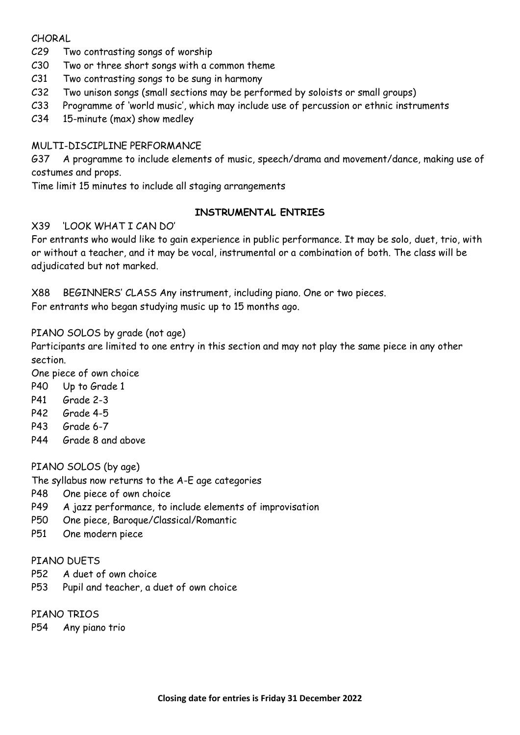#### CHORAL

- C29 Two contrasting songs of worship
- C30 Two or three short songs with a common theme
- C31 Two contrasting songs to be sung in harmony
- C32 Two unison songs (small sections may be performed by soloists or small groups)
- C33 Programme of 'world music', which may include use of percussion or ethnic instruments
- C34 15-minute (max) show medley

#### MULTI-DISCIPLINE PERFORMANCE

G37 A programme to include elements of music, speech/drama and movement/dance, making use of costumes and props.

Time limit 15 minutes to include all staging arrangements

#### **INSTRUMENTAL ENTRIES**

#### X39 'LOOK WHAT I CAN DO'

For entrants who would like to gain experience in public performance. It may be solo, duet, trio, with or without a teacher, and it may be vocal, instrumental or a combination of both. The class will be adjudicated but not marked.

X88 BEGINNERS' CLASS Any instrument, including piano. One or two pieces. For entrants who began studying music up to 15 months ago.

#### PIANO SOLOS by grade (not age)

Participants are limited to one entry in this section and may not play the same piece in any other section.

One piece of own choice

- P40 Up to Grade 1
- P41 Grade 2-3
- P42 Grade 4-5
- P43 Grade 6-7
- P44 Grade 8 and above

#### PIANO SOLOS (by age)

The syllabus now returns to the A-E age categories

- P48 One piece of own choice
- P49 A jazz performance, to include elements of improvisation
- P50 One piece, Baroque/Classical/Romantic
- P51 One modern piece

#### PTANO DUFTS

- P52 A duet of own choice
- P53 Pupil and teacher, a duet of own choice

#### PIANO TRIOS

P54 Any piano trio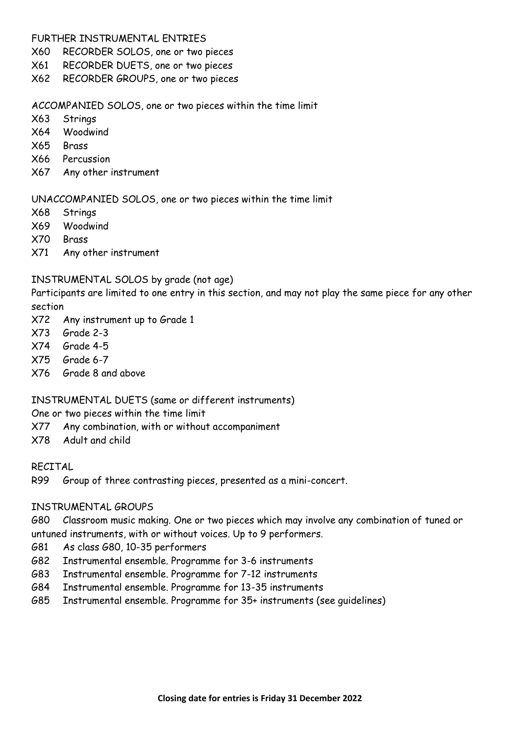#### FURTHER INSTRUMENTAL ENTRIES

- X60 RECORDER SOLOS, one or two pieces
- X61 RECORDER DUETS, one or two pieces
- X62 RECORDER GROUPS, one or two pieces

#### ACCOMPANIED SOLOS, one or two pieces within the time limit

- X63 Strings
- X64 Woodwind
- X65 Brass
- X66 Percussion
- X67 Any other instrument

#### UNACCOMPANIED SOLOS, one or two pieces within the time limit

- X68 Strings
- X69 Woodwind
- X70 Brass
- X71 Any other instrument

#### INSTRUMENTAL SOLOS by grade (not age)

Participants are limited to one entry in this section, and may not play the same piece for any other section

- X72 Any instrument up to Grade 1
- X73 Grade 2-3
- X74 Grade 4-5
- X75 Grade 6-7
- X76 Grade 8 and above

#### INSTRUMENTAL DUETS (same or different instruments)

One or two pieces within the time limit

- X77 Any combination, with or without accompaniment
- X78 Adult and child

#### RECITAL

R99 Group of three contrasting pieces, presented as a mini-concert.

#### INSTRUMENTAL GROUPS

G80 Classroom music making. One or two pieces which may involve any combination of tuned or untuned instruments, with or without voices. Up to 9 performers.

- G81 As class G80, 10-35 performers
- G82 Instrumental ensemble. Programme for 3-6 instruments
- G83 Instrumental ensemble. Programme for 7-12 instruments
- G84 Instrumental ensemble. Programme for 13-35 instruments
- G85 Instrumental ensemble. Programme for 35+ instruments (see guidelines)